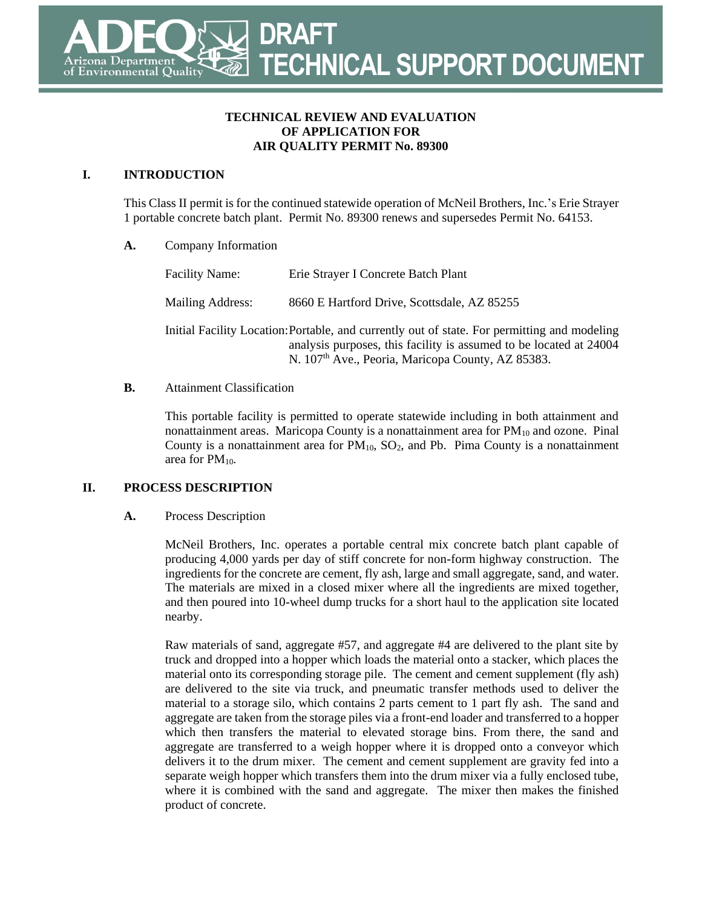### **TECHNICAL REVIEW AND EVALUATION OF APPLICATION FOR AIR QUALITY PERMIT No. 89300**

## **I. INTRODUCTION**

This Class II permit is for the continued statewide operation of McNeil Brothers, Inc.'s Erie Strayer 1 portable concrete batch plant. Permit No. 89300 renews and supersedes Permit No. 64153.

**A.** Company Information

Facility Name: Erie Strayer I Concrete Batch Plant Mailing Address: 8660 E Hartford Drive, Scottsdale, AZ 85255 Initial Facility Location:Portable, and currently out of state. For permitting and modeling analysis purposes, this facility is assumed to be located at 24004 N. 107<sup>th</sup> Ave., Peoria, Maricopa County, AZ 85383.

### **B.** Attainment Classification

This portable facility is permitted to operate statewide including in both attainment and nonattainment areas. Maricopa County is a nonattainment area for  $PM_{10}$  and ozone. Pinal County is a nonattainment area for  $PM_{10}$ ,  $SO_2$ , and Pb. Pima County is a nonattainment area for PM<sub>10</sub>.

## **II. PROCESS DESCRIPTION**

#### **A.** Process Description

McNeil Brothers, Inc. operates a portable central mix concrete batch plant capable of producing 4,000 yards per day of stiff concrete for non-form highway construction. The ingredients for the concrete are cement, fly ash, large and small aggregate, sand, and water. The materials are mixed in a closed mixer where all the ingredients are mixed together, and then poured into 10-wheel dump trucks for a short haul to the application site located nearby.

Raw materials of sand, aggregate #57, and aggregate #4 are delivered to the plant site by truck and dropped into a hopper which loads the material onto a stacker, which places the material onto its corresponding storage pile. The cement and cement supplement (fly ash) are delivered to the site via truck, and pneumatic transfer methods used to deliver the material to a storage silo, which contains 2 parts cement to 1 part fly ash. The sand and aggregate are taken from the storage piles via a front-end loader and transferred to a hopper which then transfers the material to elevated storage bins. From there, the sand and aggregate are transferred to a weigh hopper where it is dropped onto a conveyor which delivers it to the drum mixer. The cement and cement supplement are gravity fed into a separate weigh hopper which transfers them into the drum mixer via a fully enclosed tube, where it is combined with the sand and aggregate. The mixer then makes the finished product of concrete.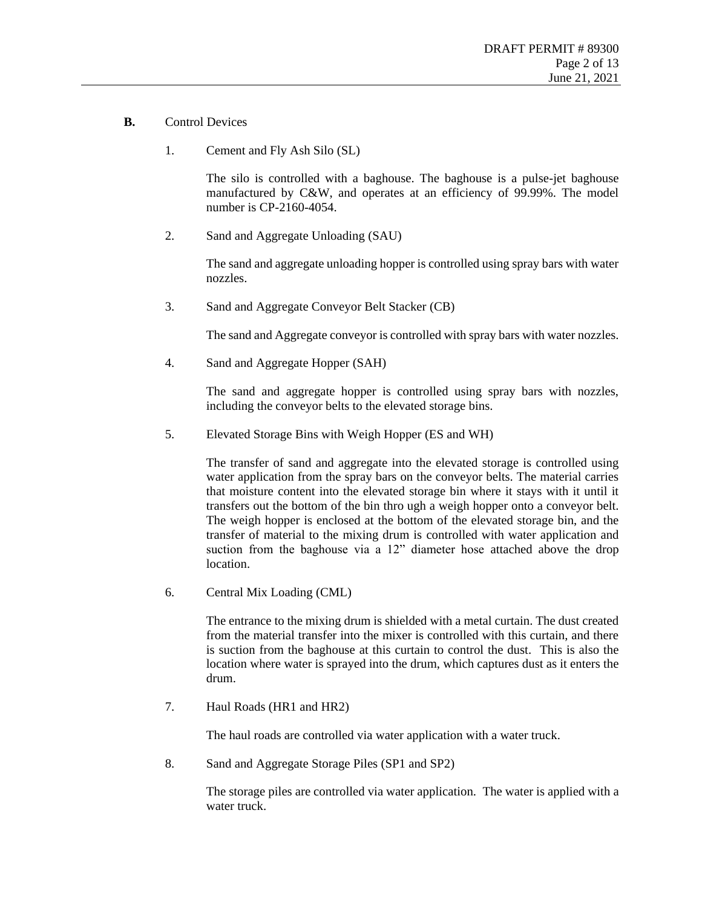- **B.** Control Devices
	- 1. Cement and Fly Ash Silo (SL)

The silo is controlled with a baghouse. The baghouse is a pulse-jet baghouse manufactured by C&W, and operates at an efficiency of 99.99%. The model number is CP-2160-4054.

2. Sand and Aggregate Unloading (SAU)

The sand and aggregate unloading hopper is controlled using spray bars with water nozzles.

3. Sand and Aggregate Conveyor Belt Stacker (CB)

The sand and Aggregate conveyor is controlled with spray bars with water nozzles.

4. Sand and Aggregate Hopper (SAH)

The sand and aggregate hopper is controlled using spray bars with nozzles, including the conveyor belts to the elevated storage bins.

5. Elevated Storage Bins with Weigh Hopper (ES and WH)

The transfer of sand and aggregate into the elevated storage is controlled using water application from the spray bars on the conveyor belts. The material carries that moisture content into the elevated storage bin where it stays with it until it transfers out the bottom of the bin thro ugh a weigh hopper onto a conveyor belt. The weigh hopper is enclosed at the bottom of the elevated storage bin, and the transfer of material to the mixing drum is controlled with water application and suction from the baghouse via a 12" diameter hose attached above the drop location.

6. Central Mix Loading (CML)

The entrance to the mixing drum is shielded with a metal curtain. The dust created from the material transfer into the mixer is controlled with this curtain, and there is suction from the baghouse at this curtain to control the dust. This is also the location where water is sprayed into the drum, which captures dust as it enters the drum.

7. Haul Roads (HR1 and HR2)

The haul roads are controlled via water application with a water truck.

8. Sand and Aggregate Storage Piles (SP1 and SP2)

The storage piles are controlled via water application. The water is applied with a water truck.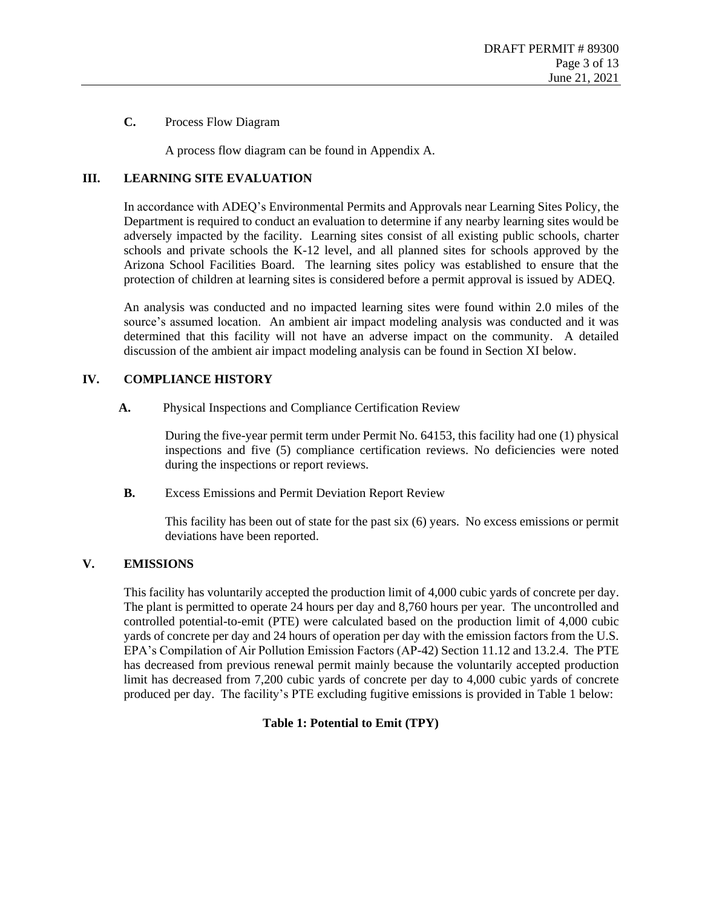#### **C.** Process Flow Diagram

A process flow diagram can be found in Appendix A.

### **III. LEARNING SITE EVALUATION**

In accordance with ADEQ's Environmental Permits and Approvals near Learning Sites Policy, the Department is required to conduct an evaluation to determine if any nearby learning sites would be adversely impacted by the facility. Learning sites consist of all existing public schools, charter schools and private schools the K-12 level, and all planned sites for schools approved by the Arizona School Facilities Board. The learning sites policy was established to ensure that the protection of children at learning sites is considered before a permit approval is issued by ADEQ.

An analysis was conducted and no impacted learning sites were found within 2.0 miles of the source's assumed location. An ambient air impact modeling analysis was conducted and it was determined that this facility will not have an adverse impact on the community. A detailed discussion of the ambient air impact modeling analysis can be found in Section [XI](#page-10-0) below.

### **IV. COMPLIANCE HISTORY**

**A.** Physical Inspections and Compliance Certification Review

During the five-year permit term under Permit No. 64153, this facility had one (1) physical inspections and five (5) compliance certification reviews. No deficiencies were noted during the inspections or report reviews.

**B.** Excess Emissions and Permit Deviation Report Review

This facility has been out of state for the past six (6) years. No excess emissions or permit deviations have been reported.

## **V. EMISSIONS**

<span id="page-2-0"></span>This facility has voluntarily accepted the production limit of 4,000 cubic yards of concrete per day. The plant is permitted to operate 24 hours per day and 8,760 hours per year. The uncontrolled and controlled potential-to-emit (PTE) were calculated based on the production limit of 4,000 cubic yards of concrete per day and 24 hours of operation per day with the emission factors from the U.S. EPA's Compilation of Air Pollution Emission Factors (AP-42) Section 11.12 and 13.2.4. The PTE has decreased from previous renewal permit mainly because the voluntarily accepted production limit has decreased from 7,200 cubic yards of concrete per day to 4,000 cubic yards of concrete produced per day. The facility's PTE excluding fugitive emissions is provided in [Table 1](#page-2-0) below:

#### **Table 1: Potential to Emit (TPY)**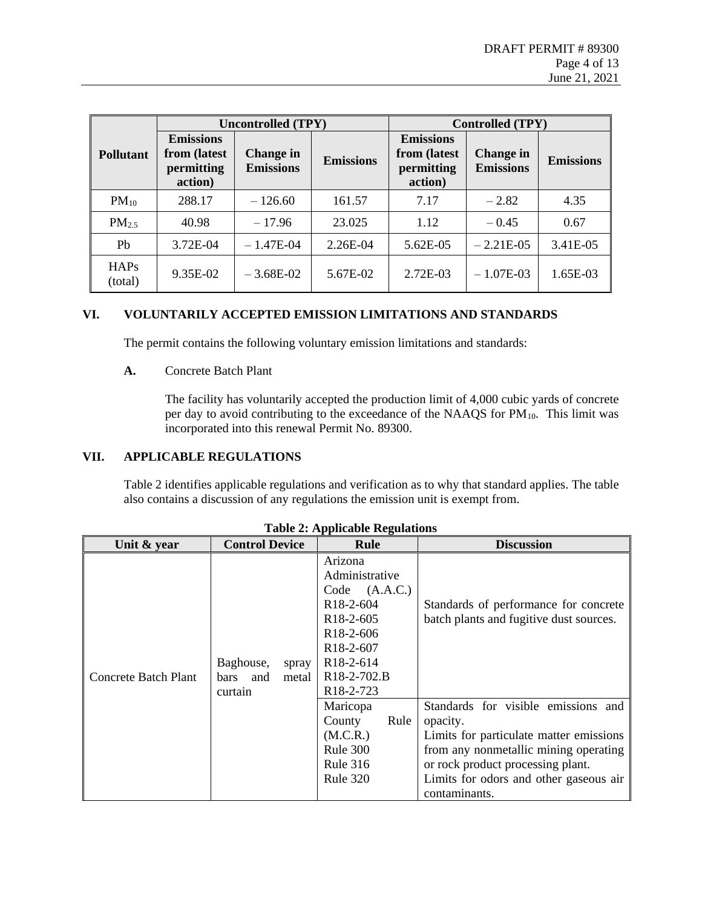|                   | <b>Uncontrolled (TPY)</b>                                 |                                      |                  | <b>Controlled (TPY)</b>                                   |                                      |                  |  |
|-------------------|-----------------------------------------------------------|--------------------------------------|------------------|-----------------------------------------------------------|--------------------------------------|------------------|--|
| <b>Pollutant</b>  | <b>Emissions</b><br>from (latest<br>permitting<br>action) | <b>Change in</b><br><b>Emissions</b> | <b>Emissions</b> | <b>Emissions</b><br>from (latest<br>permitting<br>action) | <b>Change in</b><br><b>Emissions</b> | <b>Emissions</b> |  |
| $PM_{10}$         | 288.17                                                    | $-126.60$                            | 161.57           | 7.17                                                      | $-2.82$                              | 4.35             |  |
| PM <sub>2.5</sub> | 40.98                                                     | $-17.96$                             | 23.025           | 1.12                                                      | $-0.45$                              | 0.67             |  |
| P <sub>b</sub>    | 3.72E-04                                                  | $-1.47E-04$                          | 2.26E-04         | 5.62E-05                                                  | $-2.21E-0.5$                         | 3.41E-05         |  |
| HAPs<br>(total)   | 9.35E-02                                                  | $-3.68E-02$                          | 5.67E-02         | 2.72E-03                                                  | $-1.07E-03$                          | 1.65E-03         |  |

## **VI. VOLUNTARILY ACCEPTED EMISSION LIMITATIONS AND STANDARDS**

The permit contains the following voluntary emission limitations and standards:

#### **A.** Concrete Batch Plant

The facility has voluntarily accepted the production limit of 4,000 cubic yards of concrete per day to avoid contributing to the exceedance of the NAAQS for  $PM_{10}$ . This limit was incorporated into this renewal Permit No. 89300.

## **VII. APPLICABLE REGULATIONS**

[Table 2](#page-3-0) identifies applicable regulations and verification as to why that standard applies. The table also contains a discussion of any regulations the emission unit is exempt from.

<span id="page-3-0"></span>

| Unit & year          | <b>Control Device</b>                                        | Rule                                                                                                                                                                                                                                  | <b>Discussion</b>                                                                                                                                                                                                                   |
|----------------------|--------------------------------------------------------------|---------------------------------------------------------------------------------------------------------------------------------------------------------------------------------------------------------------------------------------|-------------------------------------------------------------------------------------------------------------------------------------------------------------------------------------------------------------------------------------|
| Concrete Batch Plant | Baghouse,<br>spray<br>metal<br><b>bars</b><br>and<br>curtain | Arizona<br>Administrative<br>(A.A.C.)<br>Code<br>R <sub>18</sub> -2-604<br>R <sub>18</sub> -2-605<br>R <sub>18</sub> -2-606<br>R <sub>18</sub> -2-607<br>R <sub>18</sub> -2-614<br>R <sub>18</sub> -2-702.B<br>R <sub>18</sub> -2-723 | Standards of performance for concrete<br>batch plants and fugitive dust sources.                                                                                                                                                    |
|                      |                                                              | Maricopa<br>Rule<br>County<br>(M.C.R.)<br>Rule 300<br>Rule 316<br><b>Rule 320</b>                                                                                                                                                     | Standards for visible emissions and<br>opacity.<br>Limits for particulate matter emissions<br>from any nonmetallic mining operating<br>or rock product processing plant.<br>Limits for odors and other gaseous air<br>contaminants. |

**Table 2: Applicable Regulations**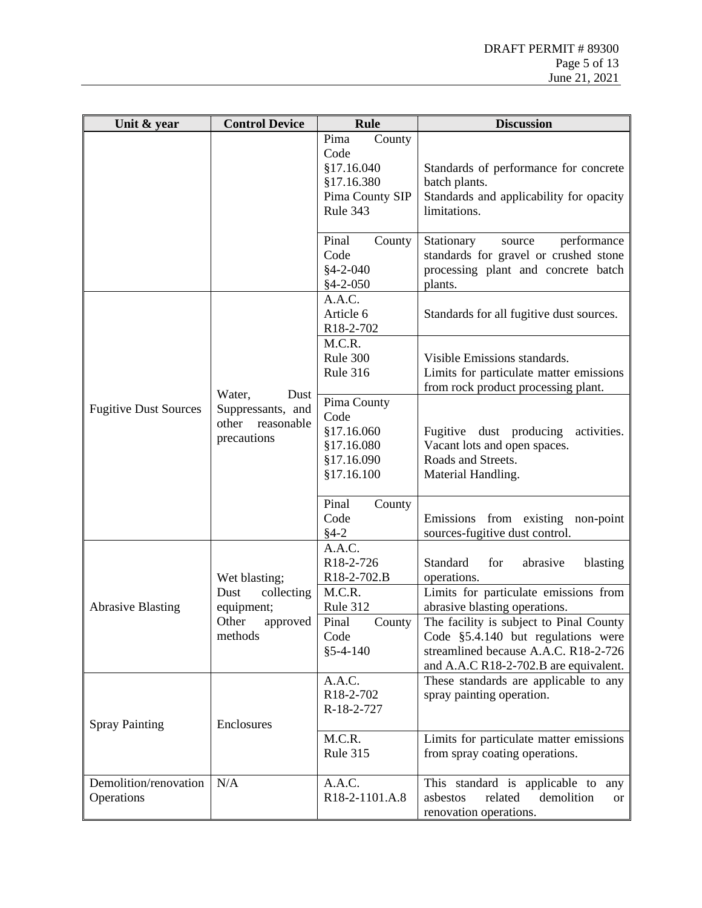| Unit & year                         | <b>Control Device</b>                                                     | <b>Rule</b>                                                                       | <b>Discussion</b>                                                                                                                                                                                                                          |
|-------------------------------------|---------------------------------------------------------------------------|-----------------------------------------------------------------------------------|--------------------------------------------------------------------------------------------------------------------------------------------------------------------------------------------------------------------------------------------|
|                                     |                                                                           | County<br>Pima<br>Code<br>§17.16.040<br>§17.16.380<br>Pima County SIP<br>Rule 343 | Standards of performance for concrete<br>batch plants.<br>Standards and applicability for opacity<br>limitations.                                                                                                                          |
|                                     |                                                                           | Pinal<br>County<br>Code<br>$§4 - 2 - 040$<br>$§4 - 2 - 050$                       | performance<br>Stationary<br>source<br>standards for gravel or crushed stone<br>processing plant and concrete batch<br>plants.                                                                                                             |
|                                     |                                                                           | A.A.C.<br>Article 6<br>R18-2-702                                                  | Standards for all fugitive dust sources.                                                                                                                                                                                                   |
|                                     | Water,<br>Dust<br>Suppressants, and<br>other<br>reasonable<br>precautions | M.C.R.<br>Rule 300<br><b>Rule 316</b>                                             | Visible Emissions standards.<br>Limits for particulate matter emissions<br>from rock product processing plant.                                                                                                                             |
| <b>Fugitive Dust Sources</b>        |                                                                           | Pima County<br>Code<br>§17.16.060<br>\$17.16.080<br>§17.16.090<br>§17.16.100      | Fugitive dust producing activities.<br>Vacant lots and open spaces.<br>Roads and Streets.<br>Material Handling.                                                                                                                            |
|                                     |                                                                           | Pinal<br>County<br>Code<br>$§4-2$                                                 | Emissions from existing non-point<br>sources-fugitive dust control.                                                                                                                                                                        |
|                                     | Wet blasting;                                                             | A.A.C.<br>R18-2-726<br>R18-2-702.B                                                | Standard<br>for<br>abrasive<br>blasting<br>operations.                                                                                                                                                                                     |
| <b>Abrasive Blasting</b>            | Dust<br>collecting<br>equipment;<br>Other<br>approved<br>methods          | M.C.R.<br>Rule 312<br>Pinal<br>County<br>Code<br>$§ 5 - 4 - 140$                  | Limits for particulate emissions from<br>abrasive blasting operations.<br>The facility is subject to Pinal County<br>Code $§5.4.140$ but regulations were<br>streamlined because A.A.C. R18-2-726<br>and A.A.C R18-2-702.B are equivalent. |
| <b>Spray Painting</b>               | Enclosures                                                                | A.A.C.<br>R18-2-702<br>R-18-2-727                                                 | These standards are applicable to any<br>spray painting operation.                                                                                                                                                                         |
|                                     |                                                                           | M.C.R.<br><b>Rule 315</b>                                                         | Limits for particulate matter emissions<br>from spray coating operations.                                                                                                                                                                  |
| Demolition/renovation<br>Operations | N/A                                                                       | A.A.C.<br>R18-2-1101.A.8                                                          | This standard is applicable to<br>any<br>asbestos<br>related<br>demolition<br><b>or</b><br>renovation operations.                                                                                                                          |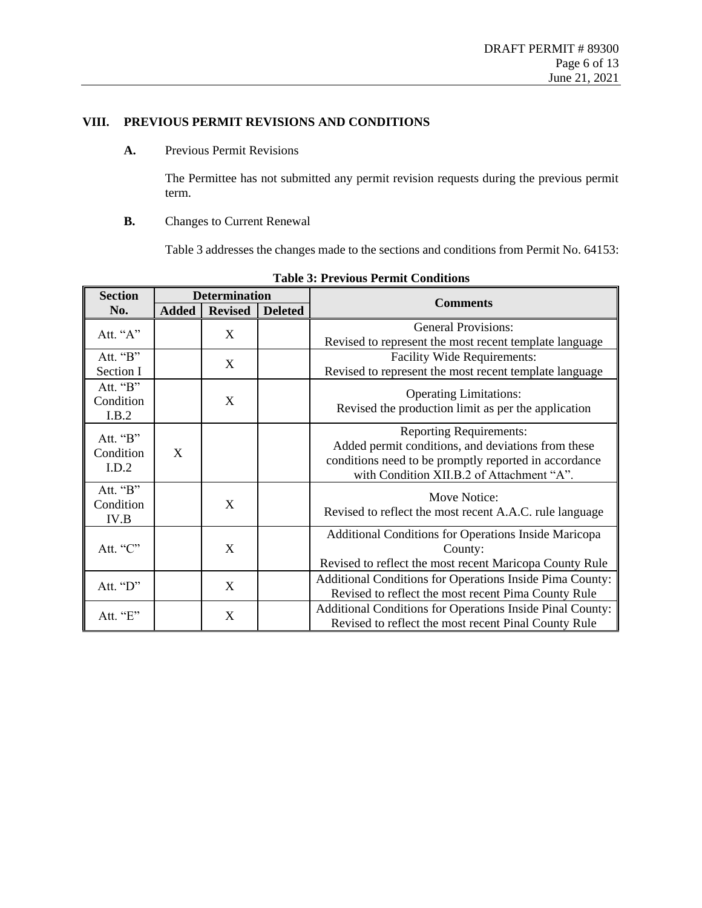$\overline{a}$ 

## **VIII. PREVIOUS PERMIT REVISIONS AND CONDITIONS**

**A.** Previous Permit Revisions

The Permittee has not submitted any permit revision requests during the previous permit term.

**B.** Changes to Current Renewal

[Table 3](#page-5-0) addresses the changes made to the sections and conditions from Permit No. 64153:

| <b>Section</b>                 | <b>Determination</b> |                |                | <b>Comments</b>                                                                                                                                                                            |  |
|--------------------------------|----------------------|----------------|----------------|--------------------------------------------------------------------------------------------------------------------------------------------------------------------------------------------|--|
| No.                            | <b>Added</b>         | <b>Revised</b> | <b>Deleted</b> |                                                                                                                                                                                            |  |
| Att. "A"                       |                      | X              |                | <b>General Provisions:</b><br>Revised to represent the most recent template language                                                                                                       |  |
| Att. "B"<br>Section I          |                      | X              |                | <b>Facility Wide Requirements:</b><br>Revised to represent the most recent template language                                                                                               |  |
| Att. "B"<br>Condition<br>I.B.2 |                      | X              |                | <b>Operating Limitations:</b><br>Revised the production limit as per the application                                                                                                       |  |
| Att. "B"<br>Condition<br>I.D.2 | X                    |                |                | <b>Reporting Requirements:</b><br>Added permit conditions, and deviations from these<br>conditions need to be promptly reported in accordance<br>with Condition XII.B.2 of Attachment "A". |  |
| Att. "B"<br>Condition<br>IV.B  |                      | X              |                | Move Notice:<br>Revised to reflect the most recent A.A.C. rule language                                                                                                                    |  |
| Att. "C"                       |                      | X              |                | Additional Conditions for Operations Inside Maricopa<br>County:<br>Revised to reflect the most recent Maricopa County Rule                                                                 |  |
| Att. "D"                       |                      | X              |                | Additional Conditions for Operations Inside Pima County:<br>Revised to reflect the most recent Pima County Rule                                                                            |  |
| Att. "E"                       |                      | X              |                | Additional Conditions for Operations Inside Pinal County:<br>Revised to reflect the most recent Pinal County Rule                                                                          |  |

<span id="page-5-0"></span>**Table 3: Previous Permit Conditions**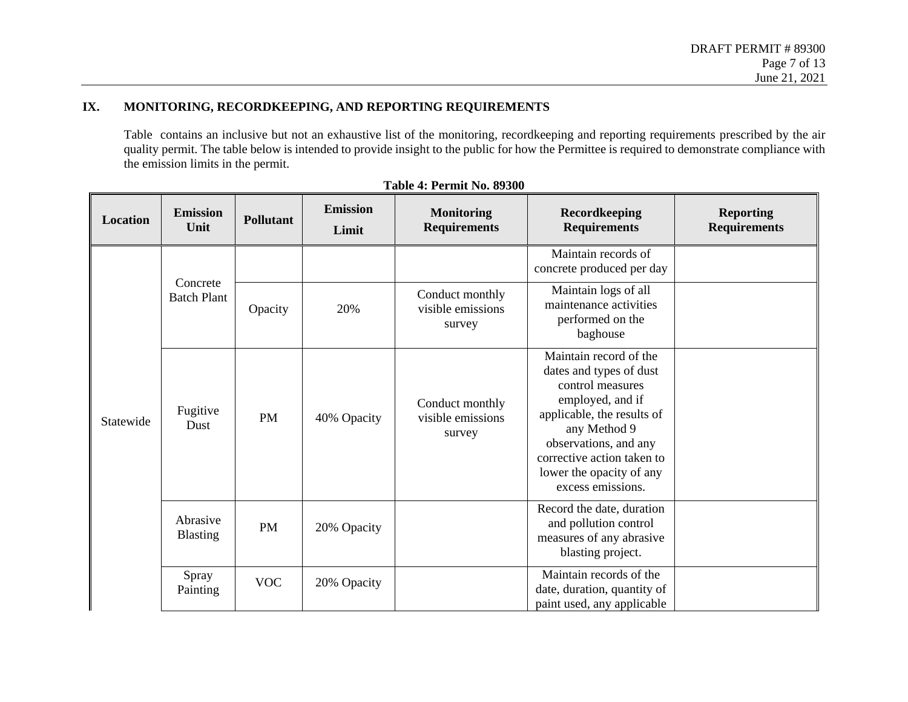## **IX. MONITORING, RECORDKEEPING, AND REPORTING REQUIREMENTS**

[Table](#page-6-0) contains an inclusive but not an exhaustive list of the monitoring, recordkeeping and reporting requirements prescribed by the air quality permit. The table below is intended to provide insight to the public for how the Permittee is required to demonstrate compliance with the emission limits in the permit.

<span id="page-6-0"></span>

| <b>Location</b> | <b>Emission</b><br>Unit        | <b>Pollutant</b> | <b>Emission</b><br>Limit | <b>Monitoring</b><br><b>Requirements</b>       | Recordkeeping<br><b>Requirements</b>                                                                                                                                                                                                            | <b>Reporting</b><br><b>Requirements</b> |
|-----------------|--------------------------------|------------------|--------------------------|------------------------------------------------|-------------------------------------------------------------------------------------------------------------------------------------------------------------------------------------------------------------------------------------------------|-----------------------------------------|
|                 |                                |                  |                          |                                                | Maintain records of<br>concrete produced per day                                                                                                                                                                                                |                                         |
|                 | Concrete<br><b>Batch Plant</b> | Opacity          | 20%                      | Conduct monthly<br>visible emissions<br>survey | Maintain logs of all<br>maintenance activities<br>performed on the<br>baghouse                                                                                                                                                                  |                                         |
| Statewide       | Fugitive<br>Dust               | <b>PM</b>        | 40% Opacity              | Conduct monthly<br>visible emissions<br>survey | Maintain record of the<br>dates and types of dust<br>control measures<br>employed, and if<br>applicable, the results of<br>any Method 9<br>observations, and any<br>corrective action taken to<br>lower the opacity of any<br>excess emissions. |                                         |
|                 | Abrasive<br><b>Blasting</b>    | <b>PM</b>        | 20% Opacity              |                                                | Record the date, duration<br>and pollution control<br>measures of any abrasive<br>blasting project.                                                                                                                                             |                                         |
|                 | Spray<br>Painting              | <b>VOC</b>       | 20% Opacity              |                                                | Maintain records of the<br>date, duration, quantity of<br>paint used, any applicable                                                                                                                                                            |                                         |

|  | <b>Table 4: Permit No. 89300</b> |  |
|--|----------------------------------|--|
|--|----------------------------------|--|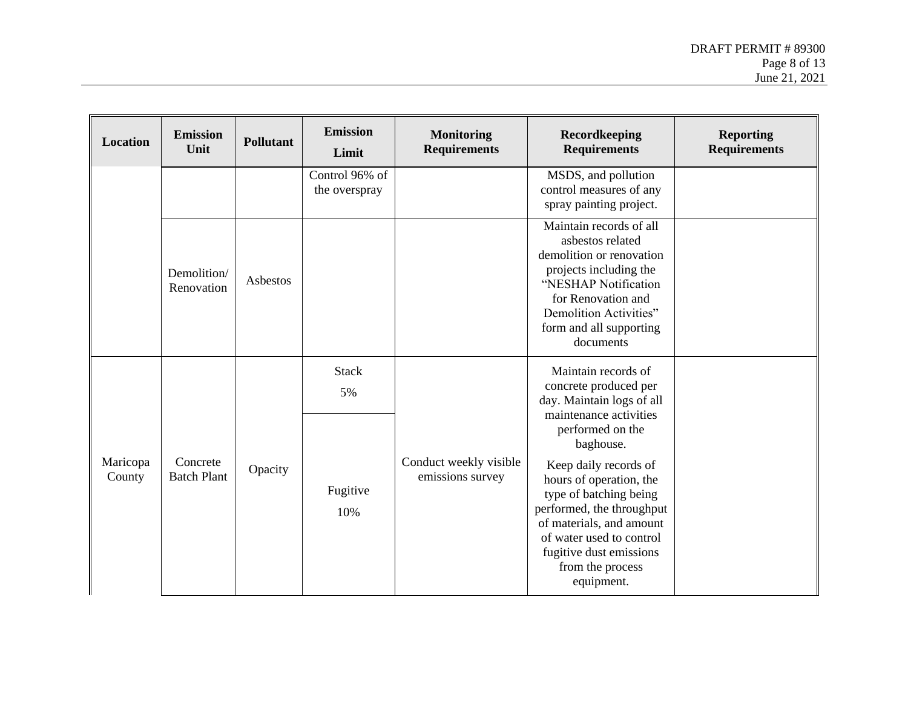| Location           | <b>Emission</b><br>Unit        | <b>Pollutant</b> | <b>Emission</b><br>Limit        | <b>Monitoring</b><br><b>Requirements</b>   | Recordkeeping<br><b>Requirements</b>                                                                                                                                                                                                                          | <b>Reporting</b><br><b>Requirements</b> |
|--------------------|--------------------------------|------------------|---------------------------------|--------------------------------------------|---------------------------------------------------------------------------------------------------------------------------------------------------------------------------------------------------------------------------------------------------------------|-----------------------------------------|
|                    |                                |                  | Control 96% of<br>the overspray |                                            | MSDS, and pollution<br>control measures of any<br>spray painting project.                                                                                                                                                                                     |                                         |
|                    | Demolition/<br>Renovation      | Asbestos         |                                 |                                            | Maintain records of all<br>asbestos related<br>demolition or renovation<br>projects including the<br>"NESHAP Notification<br>for Renovation and<br>Demolition Activities"<br>form and all supporting<br>documents                                             |                                         |
|                    |                                |                  | <b>Stack</b><br>5%              |                                            | Maintain records of<br>concrete produced per<br>day. Maintain logs of all<br>maintenance activities                                                                                                                                                           |                                         |
| Maricopa<br>County | Concrete<br><b>Batch Plant</b> | Opacity          | Fugitive<br>10%                 | Conduct weekly visible<br>emissions survey | performed on the<br>baghouse.<br>Keep daily records of<br>hours of operation, the<br>type of batching being<br>performed, the throughput<br>of materials, and amount<br>of water used to control<br>fugitive dust emissions<br>from the process<br>equipment. |                                         |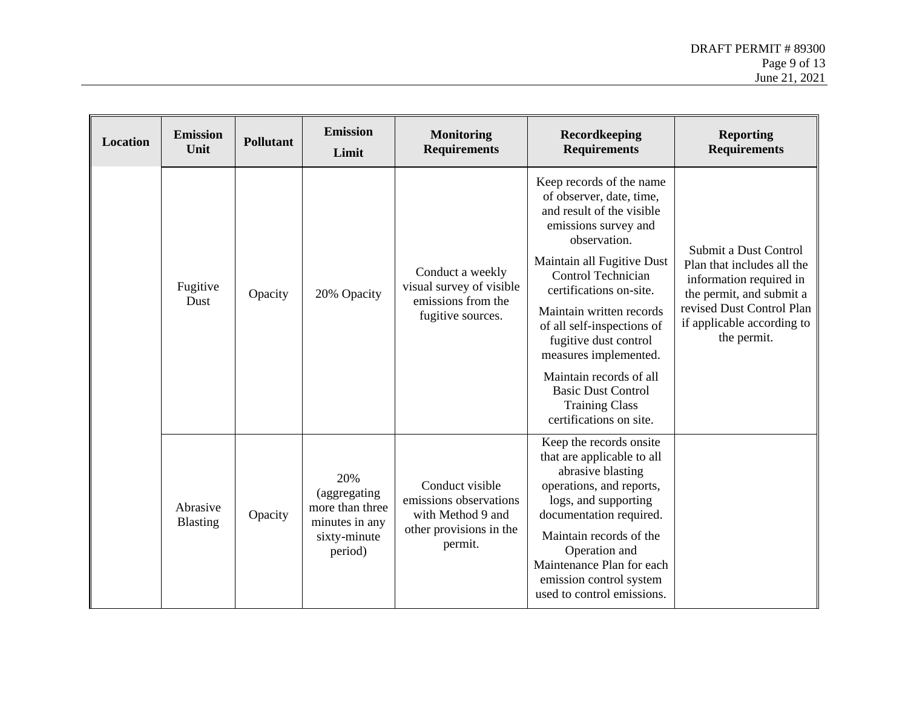| Location | <b>Emission</b><br>Unit     | <b>Pollutant</b> | <b>Emission</b><br>Limit                                                             | <b>Monitoring</b><br><b>Requirements</b>                                                             | Recordkeeping<br><b>Requirements</b>                                                                                                                                                                                                                                                                                                                                                                                             | <b>Reporting</b><br><b>Requirements</b>                                                                                                                                              |
|----------|-----------------------------|------------------|--------------------------------------------------------------------------------------|------------------------------------------------------------------------------------------------------|----------------------------------------------------------------------------------------------------------------------------------------------------------------------------------------------------------------------------------------------------------------------------------------------------------------------------------------------------------------------------------------------------------------------------------|--------------------------------------------------------------------------------------------------------------------------------------------------------------------------------------|
|          | Fugitive<br>Dust            | Opacity          | 20% Opacity                                                                          | Conduct a weekly<br>visual survey of visible<br>emissions from the<br>fugitive sources.              | Keep records of the name<br>of observer, date, time,<br>and result of the visible<br>emissions survey and<br>observation.<br>Maintain all Fugitive Dust<br>Control Technician<br>certifications on-site.<br>Maintain written records<br>of all self-inspections of<br>fugitive dust control<br>measures implemented.<br>Maintain records of all<br><b>Basic Dust Control</b><br><b>Training Class</b><br>certifications on site. | Submit a Dust Control<br>Plan that includes all the<br>information required in<br>the permit, and submit a<br>revised Dust Control Plan<br>if applicable according to<br>the permit. |
|          | Abrasive<br><b>Blasting</b> | Opacity          | 20%<br>(aggregating)<br>more than three<br>minutes in any<br>sixty-minute<br>period) | Conduct visible<br>emissions observations<br>with Method 9 and<br>other provisions in the<br>permit. | Keep the records onsite<br>that are applicable to all<br>abrasive blasting<br>operations, and reports,<br>logs, and supporting<br>documentation required.<br>Maintain records of the<br>Operation and<br>Maintenance Plan for each<br>emission control system<br>used to control emissions.                                                                                                                                      |                                                                                                                                                                                      |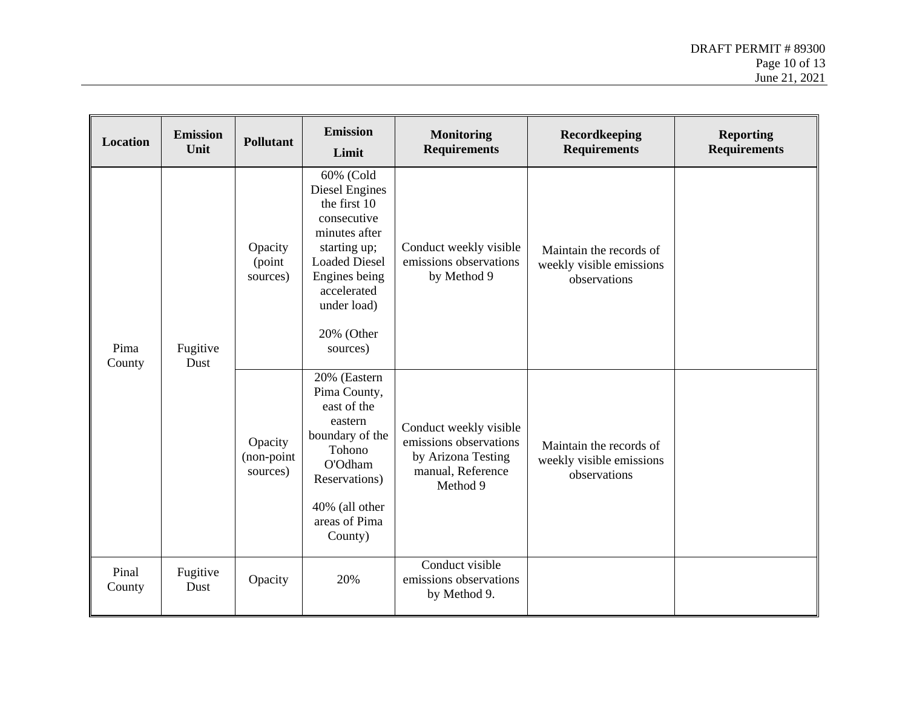| Location        | <b>Emission</b><br>Unit | <b>Pollutant</b>                  | <b>Emission</b><br>Limit                                                                                                                                                                     | <b>Monitoring</b><br><b>Requirements</b>                                                                | Recordkeeping<br><b>Requirements</b>                                | <b>Reporting</b><br><b>Requirements</b> |
|-----------------|-------------------------|-----------------------------------|----------------------------------------------------------------------------------------------------------------------------------------------------------------------------------------------|---------------------------------------------------------------------------------------------------------|---------------------------------------------------------------------|-----------------------------------------|
| Pima<br>County  | Fugitive<br>Dust        | Opacity<br>(point<br>sources)     | 60% (Cold<br>Diesel Engines<br>the first 10<br>consecutive<br>minutes after<br>starting up;<br><b>Loaded Diesel</b><br>Engines being<br>accelerated<br>under load)<br>20% (Other<br>sources) | Conduct weekly visible<br>emissions observations<br>by Method 9                                         | Maintain the records of<br>weekly visible emissions<br>observations |                                         |
|                 |                         | Opacity<br>(non-point<br>sources) | 20% (Eastern<br>Pima County,<br>east of the<br>eastern<br>boundary of the<br>Tohono<br>O'Odham<br>Reservations)<br>40% (all other<br>areas of Pima<br>County)                                | Conduct weekly visible<br>emissions observations<br>by Arizona Testing<br>manual, Reference<br>Method 9 | Maintain the records of<br>weekly visible emissions<br>observations |                                         |
| Pinal<br>County | Fugitive<br>Dust        | Opacity                           | 20%                                                                                                                                                                                          | Conduct visible<br>emissions observations<br>by Method 9.                                               |                                                                     |                                         |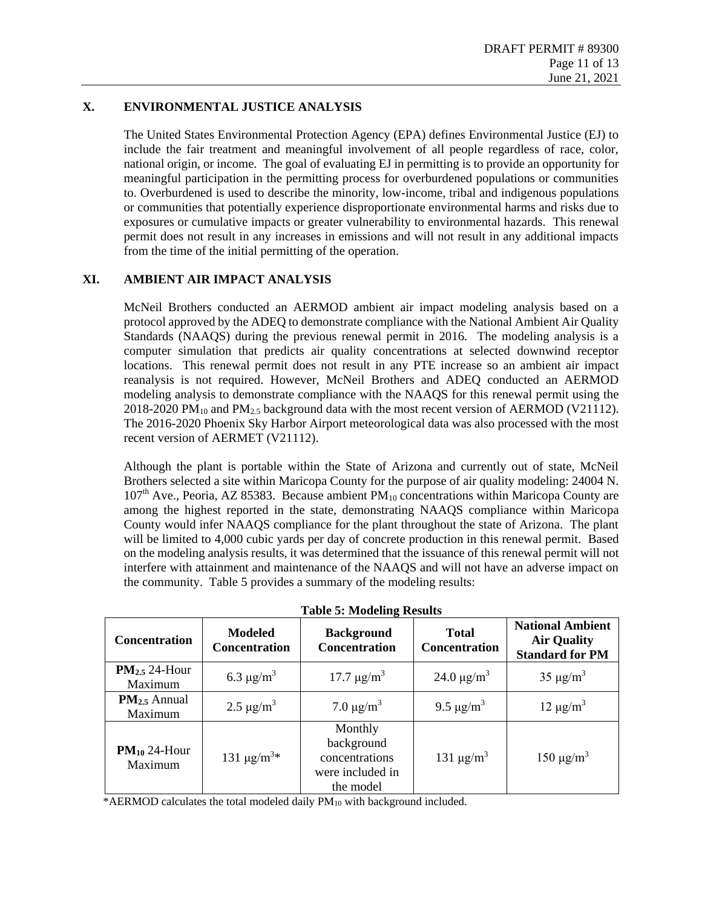## **X. ENVIRONMENTAL JUSTICE ANALYSIS**

The United States Environmental Protection Agency (EPA) defines Environmental Justice (EJ) to include the fair treatment and meaningful involvement of all people regardless of race, color, national origin, or income. The goal of evaluating EJ in permitting is to provide an opportunity for meaningful participation in the permitting process for overburdened populations or communities to. Overburdened is used to describe the minority, low-income, tribal and indigenous populations or communities that potentially experience disproportionate environmental harms and risks due to exposures or cumulative impacts or greater vulnerability to environmental hazards. This renewal permit does not result in any increases in emissions and will not result in any additional impacts from the time of the initial permitting of the operation.

### <span id="page-10-0"></span>**XI. AMBIENT AIR IMPACT ANALYSIS**

McNeil Brothers conducted an AERMOD ambient air impact modeling analysis based on a protocol approved by the ADEQ to demonstrate compliance with the National Ambient Air Quality Standards (NAAQS) during the previous renewal permit in 2016. The modeling analysis is a computer simulation that predicts air quality concentrations at selected downwind receptor locations. This renewal permit does not result in any PTE increase so an ambient air impact reanalysis is not required. However, McNeil Brothers and ADEQ conducted an AERMOD modeling analysis to demonstrate compliance with the NAAQS for this renewal permit using the 2018-2020 PM<sub>10</sub> and PM<sub>2.5</sub> background data with the most recent version of AERMOD (V21112). The 2016-2020 Phoenix Sky Harbor Airport meteorological data was also processed with the most recent version of AERMET (V21112).

Although the plant is portable within the State of Arizona and currently out of state, McNeil Brothers selected a site within Maricopa County for the purpose of air quality modeling: 24004 N.  $107<sup>th</sup>$  Ave., Peoria, AZ 85383. Because ambient PM<sub>10</sub> concentrations within Maricopa County are among the highest reported in the state, demonstrating NAAQS compliance within Maricopa County would infer NAAQS compliance for the plant throughout the state of Arizona. The plant will be limited to 4,000 cubic yards per day of concrete production in this renewal permit. Based on the modeling analysis results, it was determined that the issuance of this renewal permit will not interfere with attainment and maintenance of the NAAQS and will not have an adverse impact on the community. Table 5 provides a summary of the modeling results:

| Concentration                | <b>Modeled</b><br><b>Concentration</b> | $\epsilon$<br><b>Background</b><br><b>Concentration</b>                  | <b>Total</b><br><b>Concentration</b> | <b>National Ambient</b><br><b>Air Quality</b><br><b>Standard for PM</b> |
|------------------------------|----------------------------------------|--------------------------------------------------------------------------|--------------------------------------|-------------------------------------------------------------------------|
| $PM2.5$ 24-Hour<br>Maximum   | 6.3 $\mu$ g/m <sup>3</sup>             | $17.7 \,\mathrm{\mu g/m^3}$                                              | 24.0 $\mu$ g/m <sup>3</sup>          | $35 \mu g/m^3$                                                          |
| $PM_{2.5}$ Annual<br>Maximum | 2.5 $\mu$ g/m <sup>3</sup>             | 7.0 $\mu$ g/m <sup>3</sup>                                               | 9.5 $\mu$ g/m <sup>3</sup>           | $12 \mu g/m^3$                                                          |
| $PM_{10}$ 24-Hour<br>Maximum | 131 $\mu$ g/m <sup>3*</sup>            | Monthly<br>background<br>concentrations<br>were included in<br>the model | 131 $\mu$ g/m <sup>3</sup>           | $150 \mu g/m^3$                                                         |

**Table 5: Modeling Results**

\*AERMOD calculates the total modeled daily PM<sup>10</sup> with background included.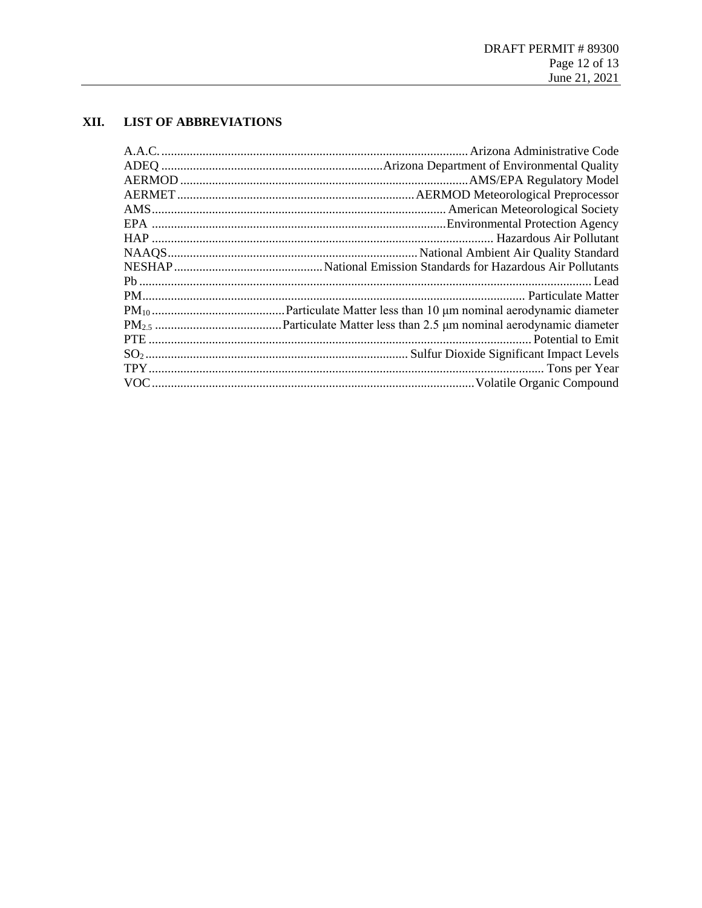## XII. LIST OF ABBREVIATIONS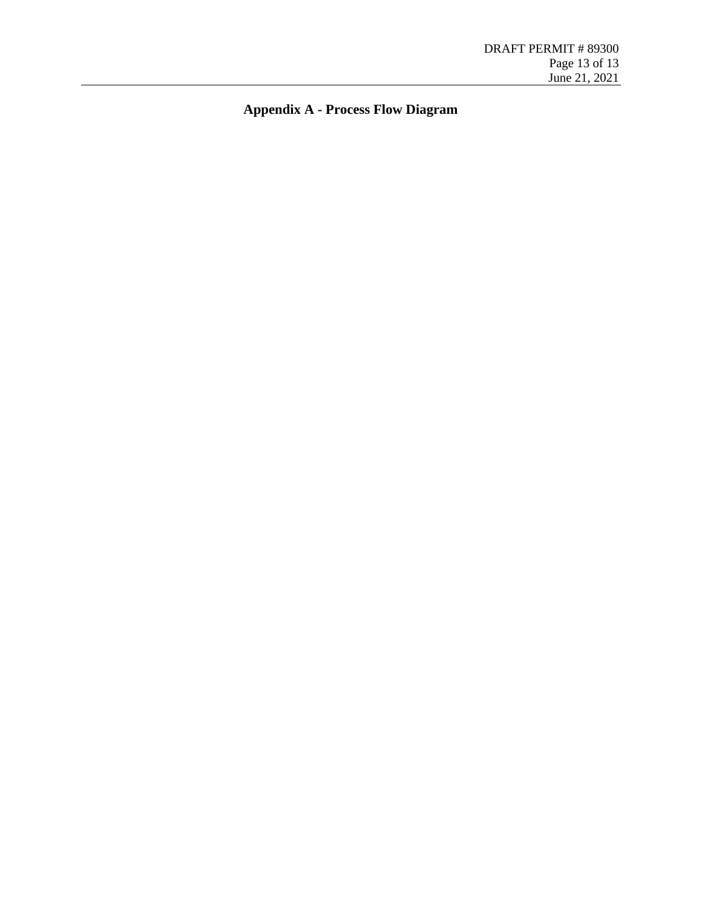**Appendix A - Process Flow Diagram**